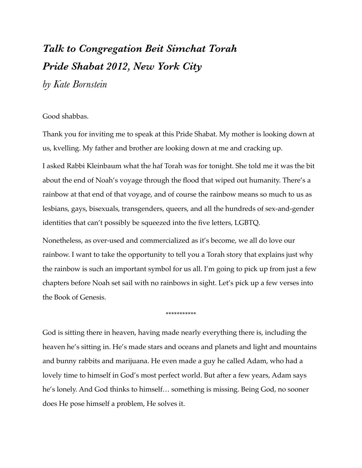## *Talk to Congregation Beit Simchat Torah Pride Shabat 2012, New York City*

*by Kate Bornstein*

## Good shabbas.

Thank you for inviting me to speak at this Pride Shabat. My mother is looking down at us, kvelling. My father and brother are looking down at me and cracking up.

I asked Rabbi Kleinbaum what the haf Torah was for tonight. She told me it was the bit about the end of Noah's voyage through the flood that wiped out humanity. There's a rainbow at that end of that voyage, and of course the rainbow means so much to us as lesbians, gays, bisexuals, transgenders, queers, and all the hundreds of sex-and-gender identities that can't possibly be squeezed into the five letters, LGBTQ.

Nonetheless, as over-used and commercialized as it's become, we all do love our rainbow. I want to take the opportunity to tell you a Torah story that explains just why the rainbow is such an important symbol for us all. I'm going to pick up from just a few chapters before Noah set sail with no rainbows in sight. Let's pick up a few verses into the Book of Genesis.

\*\*\*\*\*\*\*\*\*\*\*

God is sitting there in heaven, having made nearly everything there is, including the heaven he's sitting in. He's made stars and oceans and planets and light and mountains and bunny rabbits and marijuana. He even made a guy he called Adam, who had a lovely time to himself in God's most perfect world. But after a few years, Adam says he's lonely. And God thinks to himself… something is missing. Being God, no sooner does He pose himself a problem, He solves it.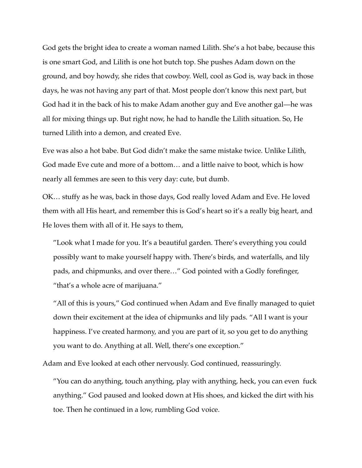God gets the bright idea to create a woman named Lilith. She's a hot babe, because this is one smart God, and Lilith is one hot butch top. She pushes Adam down on the ground, and boy howdy, she rides that cowboy. Well, cool as God is, way back in those days, he was not having any part of that. Most people don't know this next part, but God had it in the back of his to make Adam another guy and Eve another gal—he was all for mixing things up. But right now, he had to handle the Lilith situation. So, He turned Lilith into a demon, and created Eve.

Eve was also a hot babe. But God didn't make the same mistake twice. Unlike Lilith, God made Eve cute and more of a bottom… and a little naive to boot, which is how nearly all femmes are seen to this very day: cute, but dumb.

OK… stuffy as he was, back in those days, God really loved Adam and Eve. He loved them with all His heart, and remember this is God's heart so it's a really big heart, and He loves them with all of it. He says to them,

"Look what I made for you. It's a beautiful garden. There's everything you could possibly want to make yourself happy with. There's birds, and waterfalls, and lily pads, and chipmunks, and over there…" God pointed with a Godly forefinger, "that's a whole acre of marijuana."

"All of this is yours," God continued when Adam and Eve finally managed to quiet down their excitement at the idea of chipmunks and lily pads. "All I want is your happiness. I've created harmony, and you are part of it, so you get to do anything you want to do. Anything at all. Well, there's one exception."

Adam and Eve looked at each other nervously. God continued, reassuringly.

"You can do anything, touch anything, play with anything, heck, you can even fuck anything." God paused and looked down at His shoes, and kicked the dirt with his toe. Then he continued in a low, rumbling God voice.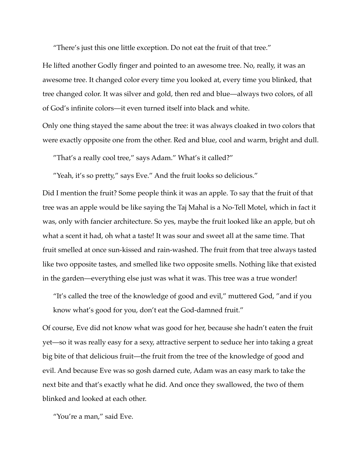"There's just this one little exception. Do not eat the fruit of that tree."

He lifted another Godly finger and pointed to an awesome tree. No, really, it was an awesome tree. It changed color every time you looked at, every time you blinked, that tree changed color. It was silver and gold, then red and blue—always two colors, of all of God's infinite colors—it even turned itself into black and white.

Only one thing stayed the same about the tree: it was always cloaked in two colors that were exactly opposite one from the other. Red and blue, cool and warm, bright and dull.

"That's a really cool tree," says Adam." What's it called?"

"Yeah, it's so pretty," says Eve." And the fruit looks so delicious."

Did I mention the fruit? Some people think it was an apple. To say that the fruit of that tree was an apple would be like saying the Taj Mahal is a No-Tell Motel, which in fact it was, only with fancier architecture. So yes, maybe the fruit looked like an apple, but oh what a scent it had, oh what a taste! It was sour and sweet all at the same time. That fruit smelled at once sun-kissed and rain-washed. The fruit from that tree always tasted like two opposite tastes, and smelled like two opposite smells. Nothing like that existed in the garden—everything else just was what it was. This tree was a true wonder!

"It's called the tree of the knowledge of good and evil," muttered God, "and if you know what's good for you, don't eat the God-damned fruit."

Of course, Eve did not know what was good for her, because she hadn't eaten the fruit yet—so it was really easy for a sexy, attractive serpent to seduce her into taking a great big bite of that delicious fruit—the fruit from the tree of the knowledge of good and evil. And because Eve was so gosh darned cute, Adam was an easy mark to take the next bite and that's exactly what he did. And once they swallowed, the two of them blinked and looked at each other.

"You're a man," said Eve.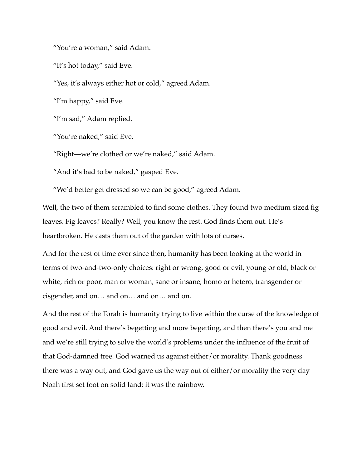"You're a woman," said Adam.

"It's hot today," said Eve.

"Yes, it's always either hot or cold," agreed Adam.

"I'm happy," said Eve.

"I'm sad," Adam replied.

"You're naked," said Eve.

"Right—we're clothed or we're naked," said Adam.

"And it's bad to be naked," gasped Eve.

"We'd better get dressed so we can be good," agreed Adam.

Well, the two of them scrambled to find some clothes. They found two medium sized fig leaves. Fig leaves? Really? Well, you know the rest. God finds them out. He's heartbroken. He casts them out of the garden with lots of curses.

And for the rest of time ever since then, humanity has been looking at the world in terms of two-and-two-only choices: right or wrong, good or evil, young or old, black or white, rich or poor, man or woman, sane or insane, homo or hetero, transgender or cisgender, and on… and on… and on… and on.

And the rest of the Torah is humanity trying to live within the curse of the knowledge of good and evil. And there's begetting and more begetting, and then there's you and me and we're still trying to solve the world's problems under the influence of the fruit of that God-damned tree. God warned us against either/or morality. Thank goodness there was a way out, and God gave us the way out of either/or morality the very day Noah first set foot on solid land: it was the rainbow.